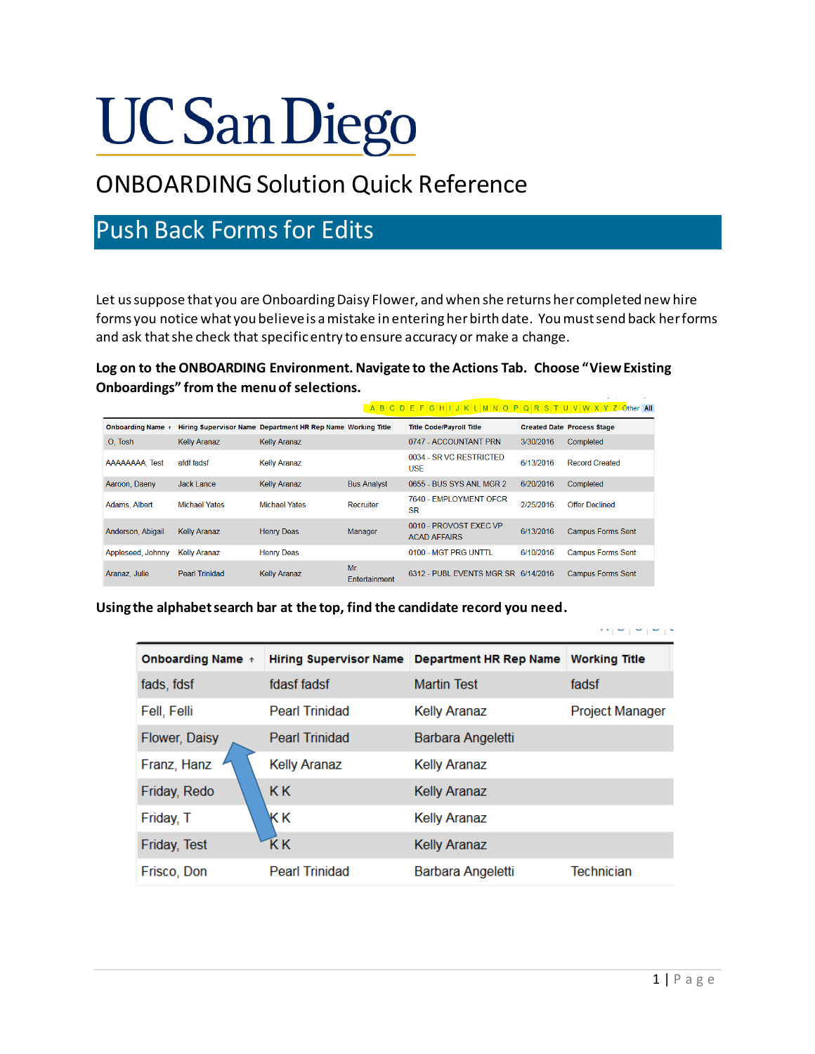# **UC San Diego**

## ONBOARDING Solution Quick Reference

## Push Back Forms for Edits

Let us suppose that you are Onboarding Daisy Flower, and when she returns her completed new hire forms you notice what you believe is a mistake in entering her birth date. You must send back her forms and ask that she check that specific entry to ensure accuracy or make a change.

**Log on to the ONBOARDING Environment. Navigate to the Actions Tab. Choose "View Existing Onboardings" from the menu of selections.** 

|                        |                       |                                                             |                      | ABCDEFGHIJKLMNOPQRSTUVWXYZOtherAII            |           |                                   |
|------------------------|-----------------------|-------------------------------------------------------------|----------------------|-----------------------------------------------|-----------|-----------------------------------|
| <b>Onboarding Name</b> |                       | Hiring Supervisor Name Department HR Rep Name Working Title |                      | <b>Title Code/Payroll Title</b>               |           | <b>Created Date Process Stage</b> |
| .O. Tosh               | <b>Kelly Aranaz</b>   | <b>Kelly Aranaz</b>                                         |                      | 0747 - ACCOUNTANT PRN                         | 3/30/2016 | Completed                         |
| AAAAAAAA, Test         | afdf fadsf            | <b>Kelly Aranaz</b>                                         |                      | 0034 - SR VC RESTRICTED<br><b>USE</b>         | 6/13/2016 | <b>Record Created</b>             |
| Aaroon, Daeny          | Jack Lance            | <b>Kelly Aranaz</b>                                         | <b>Bus Analyst</b>   | 0655 - BUS SYS ANL MGR 2                      | 6/20/2016 | Completed                         |
| Adams, Albert          | <b>Michael Yates</b>  | <b>Michael Yates</b>                                        | Recruiter            | 7640 - EMPLOYMENT OFCR<br><b>SR</b>           | 2/25/2016 | <b>Offer Declined</b>             |
| Anderson, Abigail      | <b>Kelly Aranaz</b>   | <b>Henry Deas</b>                                           | Manager              | 0010 - PROVOST FXFC VP<br><b>ACAD AFFAIRS</b> | 6/13/2016 | <b>Campus Forms Sent</b>          |
| Appleseed, Johnny      | <b>Kelly Aranaz</b>   | <b>Henry Deas</b>                                           |                      | 0100 - MGT PRG UNTTL                          | 6/10/2016 | <b>Campus Forms Sent</b>          |
| Aranaz, Julie          | <b>Pearl Trinidad</b> | <b>Kelly Aranaz</b>                                         | Mr.<br>Entertainment | 6312 - PUBL EVENTS MGR SR 6/14/2016           |           | <b>Campus Forms Sent</b>          |

**Using the alphabet search bar at the top, find the candidate record you need.**

| <b>Onboarding Name</b> + | <b>Hiring Supervisor Name</b> | Department HR Rep Name | <b>Working Title</b> |
|--------------------------|-------------------------------|------------------------|----------------------|
| fads, fdsf               | fdasf fadsf                   | <b>Martin Test</b>     | fadsf                |
| Fell, Felli              | <b>Pearl Trinidad</b>         | <b>Kelly Aranaz</b>    | Project Manager      |
| Flower, Daisy            | <b>Pearl Trinidad</b>         | Barbara Angeletti      |                      |
| Franz, Hanz              | <b>Kelly Aranaz</b>           | <b>Kelly Aranaz</b>    |                      |
| Friday, Redo             | <b>KK</b>                     | <b>Kelly Aranaz</b>    |                      |
| Friday, T                | KΚ                            | <b>Kelly Aranaz</b>    |                      |
| Friday, Test             | ΚK                            | <b>Kelly Aranaz</b>    |                      |
| Frisco, Don              | <b>Pearl Trinidad</b>         | Barbara Angeletti      | <b>Technician</b>    |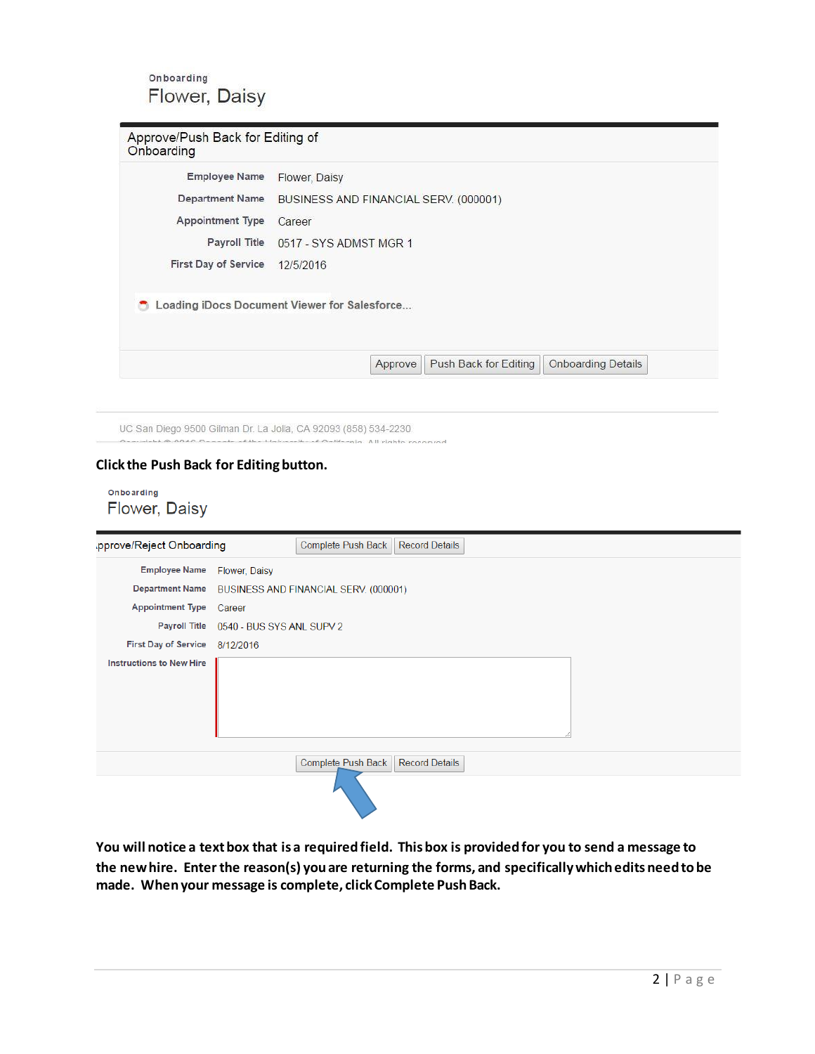Onboarding Flower, Daisy

| <b>Employee Name</b>        | Flower, Daisy                                |                           |
|-----------------------------|----------------------------------------------|---------------------------|
| <b>Department Name</b>      | BUSINESS AND FINANCIAL SERV. (000001)        |                           |
| <b>Appointment Type</b>     | Career                                       |                           |
|                             | Payroll Title 0517 - SYS ADMST MGR 1         |                           |
| <b>First Day of Service</b> | 12/5/2016                                    |                           |
|                             | Loading iDocs Document Viewer for Salesforce |                           |
|                             | Approve<br>Push Back for Editing             | <b>Onboarding Details</b> |

UC San Diego 9500 Gilman Dr. La Jolla, CA 92093 (858) 534-2230

senia. All rights rosanned

### **Click the Push Back for Editing button.**

Onboarding Flower, Daisy

| pprove/Reject Onboarding        |               | Complete Push Back                    | <b>Record Details</b> |  |  |
|---------------------------------|---------------|---------------------------------------|-----------------------|--|--|
| <b>Employee Name</b>            | Flower, Daisy |                                       |                       |  |  |
| <b>Department Name</b>          |               | BUSINESS AND FINANCIAL SERV. (000001) |                       |  |  |
| <b>Appointment Type</b>         | Career        |                                       |                       |  |  |
| <b>Payroll Title</b>            |               | 0540 - BUS SYS ANL SUPV 2             |                       |  |  |
| <b>First Day of Service</b>     | 8/12/2016     |                                       |                       |  |  |
| <b>Instructions to New Hire</b> |               |                                       |                       |  |  |
|                                 |               | Complete Push Back                    | <b>Record Details</b> |  |  |
|                                 |               |                                       |                       |  |  |

**You will notice a text box that is a required field. This box is provided for you to send a message to the new hire. Enter the reason(s) you are returning the forms, and specifically which edits need to be made. When your message is complete, click Complete Push Back.**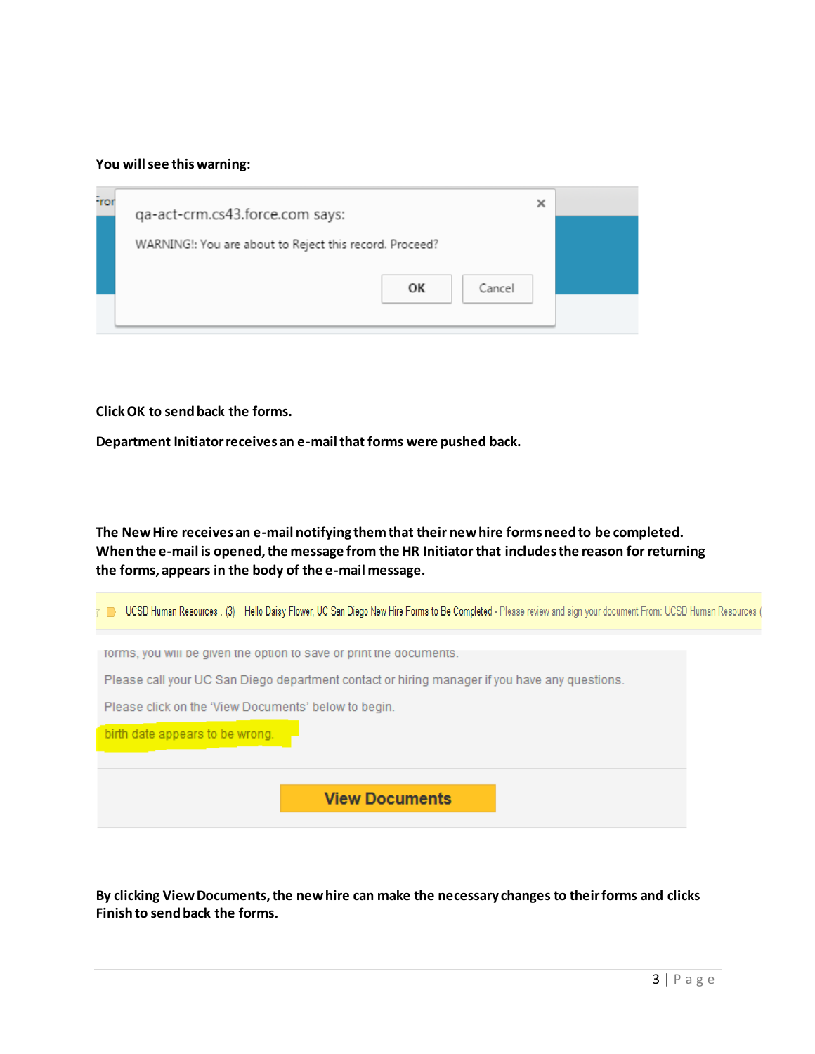#### **You will see this warning:**

| Fror | ×<br>qa-act-crm.cs43.force.com says:                    |  |
|------|---------------------------------------------------------|--|
|      |                                                         |  |
|      | WARNING!: You are about to Reject this record. Proceed? |  |
|      | OK<br>Cancel                                            |  |
|      |                                                         |  |

**Click OK to send back the forms.** 

**Department Initiator receives an e-mail that forms were pushed back.** 

**The New Hire receives an e-mail notifying them that their new hire forms need to be completed. When the e-mail is opened, the message from the HR Initiator that includes the reason for returning the forms, appears in the body of the e-mail message.**

| UCSD Human Resources . (3) Hello Daisy Flower, UC San Diego New Hire Forms to Be Completed - Please review and sign your document From: UCSD Human Resources |  |
|--------------------------------------------------------------------------------------------------------------------------------------------------------------|--|
| forms, you will be given the option to save or print the documents.                                                                                          |  |
| Please call your UC San Diego department contact or hiring manager if you have any questions.                                                                |  |
| Please click on the 'View Documents' below to begin.                                                                                                         |  |
| birth date appears to be wrong.                                                                                                                              |  |
|                                                                                                                                                              |  |
| <b>View Documents</b>                                                                                                                                        |  |

**By clicking View Documents, the new hire can make the necessary changes to their forms and clicks Finish to send back the forms.**